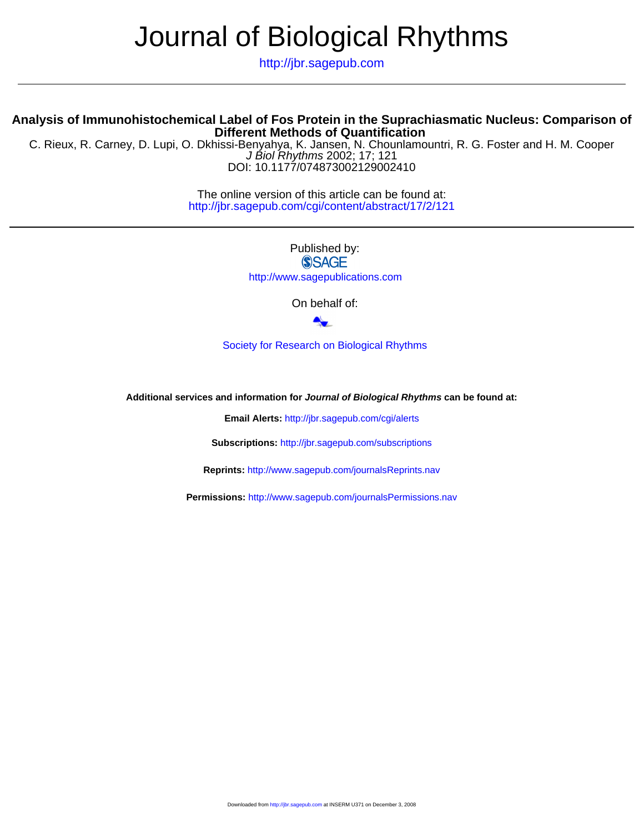# Journal of Biological Rhythms

http://jbr.sagepub.com

# **Different Methods of Quantification Analysis of Immunohistochemical Label of Fos Protein in the Suprachiasmatic Nucleus: Comparison of**

DOI: 10.1177/074873002129002410 J Biol Rhythms 2002; 17; 121 C. Rieux, R. Carney, D. Lupi, O. Dkhissi-Benyahya, K. Jansen, N. Chounlamountri, R. G. Foster and H. M. Cooper

> http://jbr.sagepub.com/cgi/content/abstract/17/2/121 The online version of this article can be found at:

> > Published by: **SSAGE** http://www.sagepublications.com

> > > On behalf of:

 $\rightarrow$ 

[Society for Research on Biological Rhythms](http://www.srbr.org)

**Additional services and information for Journal of Biological Rhythms can be found at:**

**Email Alerts:** <http://jbr.sagepub.com/cgi/alerts>

**Subscriptions:** <http://jbr.sagepub.com/subscriptions>

**Reprints:** <http://www.sagepub.com/journalsReprints.nav>

**Permissions:** <http://www.sagepub.com/journalsPermissions.nav>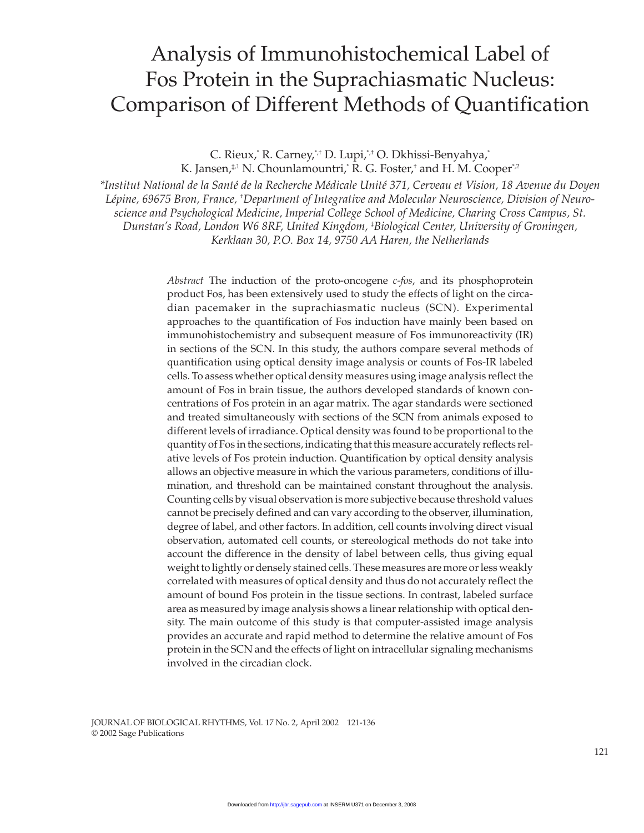# Analysis of Immunohistochemical Label of Fos Protein in the Suprachiasmatic Nucleus: Comparison of Different Methods of Quantification

C. Rieux,\* R. Carney,\*,† D. Lupi,\*,† O. Dkhissi-Benyahya,\* K. Jansen,<sup> $\ddagger$ 1</sup> N. Chounlamountri, R. G. Foster,<sup>†</sup> and H. M. Cooper<sup>\*,2</sup>

*\*Institut National de la Santé de la Recherche Médicale Unité 371, Cerveau et Vision, 18 Avenue du Doyen* Lépine, 69675 Bron, France, †Department of Integrative and Molecular Neuroscience, Division of Neuro*science and Psychological Medicine, Imperial College School of Medicine, Charing Cross Campus, St. Dunstan's Road, London W6 8RF, United Kingdom, ‡ Biological Center, University of Groningen, Kerklaan 30, P.O. Box 14, 9750 AA Haren, the Netherlands*

> *Abstract* The induction of the proto-oncogene *c-fos*, and its phosphoprotein product Fos, has been extensively used to study the effects of light on the circadian pacemaker in the suprachiasmatic nucleus (SCN). Experimental approaches to the quantification of Fos induction have mainly been based on immunohistochemistry and subsequent measure of Fos immunoreactivity (IR) in sections of the SCN. In this study, the authors compare several methods of quantification using optical density image analysis or counts of Fos-IR labeled cells. To assess whether optical density measures using image analysis reflect the amount of Fos in brain tissue, the authors developed standards of known concentrations of Fos protein in an agar matrix. The agar standards were sectioned and treated simultaneously with sections of the SCN from animals exposed to different levels of irradiance. Optical density was found to be proportional to the quantity of Fos in the sections, indicating that this measure accurately reflects relative levels of Fos protein induction. Quantification by optical density analysis allows an objective measure in which the various parameters, conditions of illumination, and threshold can be maintained constant throughout the analysis. Counting cells by visual observation is more subjective because threshold values cannot be precisely defined and can vary according to the observer, illumination, degree of label, and other factors. In addition, cell counts involving direct visual observation, automated cell counts, or stereological methods do not take into account the difference in the density of label between cells, thus giving equal weight to lightly or densely stained cells. These measures are more or less weakly correlated with measures of optical density and thus do not accurately reflect the amount of bound Fos protein in the tissue sections. In contrast, labeled surface area as measured by image analysis shows a linear relationship with optical density. The main outcome of this study is that computer-assisted image analysis provides an accurate and rapid method to determine the relative amount of Fos protein in the SCN and the effects of light on intracellular signaling mechanisms involved in the circadian clock.

JOURNAL OF BIOLOGICAL RHYTHMS, Vol. 17 No. 2, April 2002 121-136 © 2002 Sage Publications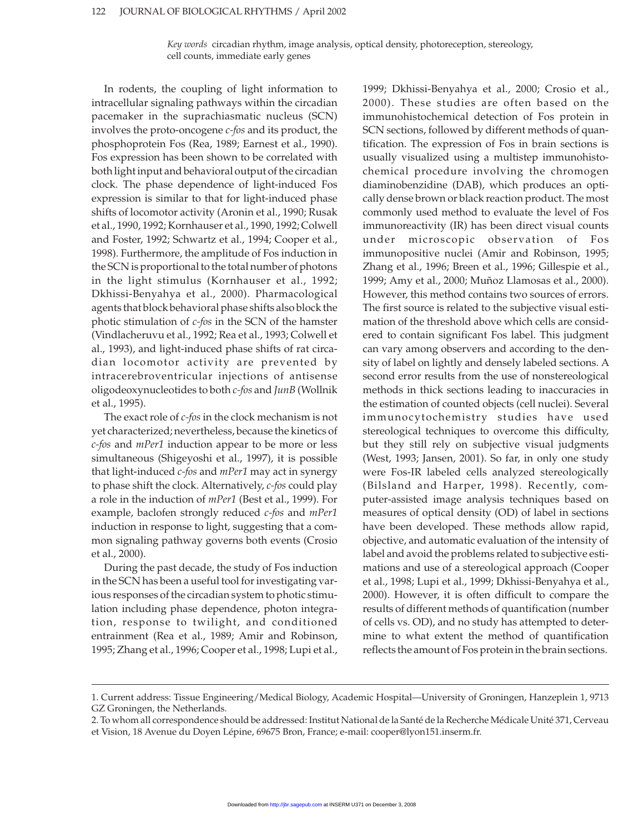In rodents, the coupling of light information to intracellular signaling pathways within the circadian pacemaker in the suprachiasmatic nucleus (SCN) involves the proto-oncogene *c-fos* and its product, the phosphoprotein Fos (Rea, 1989; Earnest et al., 1990). Fos expression has been shown to be correlated with both light input and behavioral output of the circadian clock. The phase dependence of light-induced Fos expression is similar to that for light-induced phase shifts of locomotor activity (Aronin et al., 1990; Rusak et al., 1990, 1992; Kornhauser et al., 1990, 1992; Colwell and Foster, 1992; Schwartz et al., 1994; Cooper et al., 1998). Furthermore, the amplitude of Fos induction in the SCN is proportional to the total number of photons in the light stimulus (Kornhauser et al., 1992; Dkhissi-Benyahya et al., 2000). Pharmacological agents that block behavioral phase shifts also block the photic stimulation of *c-fos* in the SCN of the hamster (Vindlacheruvu et al., 1992; Rea et al., 1993; Colwell et al., 1993), and light-induced phase shifts of rat circadian locomotor activity are prevented by intracerebroventricular injections of antisense oligodeoxynucleotides to both *c-fos* and *JunB* (Wollnik et al., 1995).

The exact role of *c-fos* in the clock mechanism is not yet characterized; nevertheless, because the kinetics of *c-fos* and *mPer1* induction appear to be more or less simultaneous (Shigeyoshi et al., 1997), it is possible that light-induced *c-fos* and *mPer1* may act in synergy to phase shift the clock. Alternatively, *c-fos* could play a role in the induction of *mPer1* (Best et al., 1999). For example, baclofen strongly reduced *c-fos* and *mPer1* induction in response to light, suggesting that a common signaling pathway governs both events (Crosio et al., 2000).

During the past decade, the study of Fos induction in the SCN has been a useful tool for investigating various responses of the circadian system to photic stimulation including phase dependence, photon integration, response to twilight, and conditioned entrainment (Rea et al., 1989; Amir and Robinson, 1995; Zhang et al., 1996; Cooper et al., 1998; Lupi et al.,

1999; Dkhissi-Benyahya et al., 2000; Crosio et al., 2000). These studies are often based on the immunohistochemical detection of Fos protein in SCN sections, followed by different methods of quantification. The expression of Fos in brain sections is usually visualized using a multistep immunohistochemical procedure involving the chromogen diaminobenzidine (DAB), which produces an optically dense brown or black reaction product. The most commonly used method to evaluate the level of Fos immunoreactivity (IR) has been direct visual counts under microscopic observation of Fos immunopositive nuclei (Amir and Robinson, 1995; Zhang et al., 1996; Breen et al., 1996; Gillespie et al., 1999; Amy et al., 2000; Muñoz Llamosas et al., 2000). However, this method contains two sources of errors. The first source is related to the subjective visual estimation of the threshold above which cells are considered to contain significant Fos label. This judgment can vary among observers and according to the density of label on lightly and densely labeled sections. A second error results from the use of nonstereological methods in thick sections leading to inaccuracies in the estimation of counted objects (cell nuclei). Several immunocytochemistry studies have used stereological techniques to overcome this difficulty, but they still rely on subjective visual judgments (West, 1993; Jansen, 2001). So far, in only one study were Fos-IR labeled cells analyzed stereologically (Bilsland and Harper, 1998). Recently, computer-assisted image analysis techniques based on measures of optical density (OD) of label in sections have been developed. These methods allow rapid, objective, and automatic evaluation of the intensity of label and avoid the problems related to subjective estimations and use of a stereological approach (Cooper et al., 1998; Lupi et al., 1999; Dkhissi-Benyahya et al., 2000). However, it is often difficult to compare the results of different methods of quantification (number of cells vs. OD), and no study has attempted to determine to what extent the method of quantification reflects the amount of Fos protein in the brain sections.

<sup>1.</sup> Current address: Tissue Engineering/Medical Biology, Academic Hospital—University of Groningen, Hanzeplein 1, 9713 GZ Groningen, the Netherlands.

<sup>2.</sup> To whom all correspondence should be addressed: Institut National de la Santé de la Recherche Médicale Unité 371, Cerveau et Vision, 18 Avenue du Doyen Lépine, 69675 Bron, France; e-mail: cooper@lyon151.inserm.fr.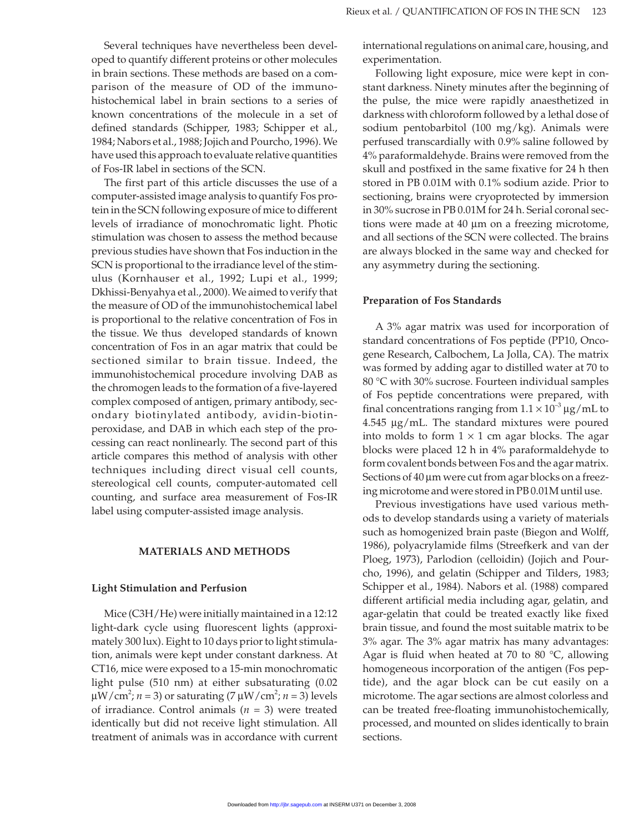oped to quantify different proteins or other molecules in brain sections. These methods are based on a comparison of the measure of OD of the immunohistochemical label in brain sections to a series of known concentrations of the molecule in a set of defined standards (Schipper, 1983; Schipper et al., 1984; Nabors et al., 1988; Jojich and Pourcho, 1996). We have used this approach to evaluate relative quantities of Fos-IR label in sections of the SCN.

The first part of this article discusses the use of a computer-assisted image analysis to quantify Fos protein in the SCN following exposure of mice to different levels of irradiance of monochromatic light. Photic stimulation was chosen to assess the method because previous studies have shown that Fos induction in the SCN is proportional to the irradiance level of the stimulus (Kornhauser et al., 1992; Lupi et al., 1999; Dkhissi-Benyahya et al., 2000). We aimed to verify that the measure of OD of the immunohistochemical label is proportional to the relative concentration of Fos in the tissue. We thus developed standards of known concentration of Fos in an agar matrix that could be sectioned similar to brain tissue. Indeed, the immunohistochemical procedure involving DAB as the chromogen leads to the formation of a five-layered complex composed of antigen, primary antibody, secondary biotinylated antibody, avidin-biotinperoxidase, and DAB in which each step of the processing can react nonlinearly. The second part of this article compares this method of analysis with other techniques including direct visual cell counts, stereological cell counts, computer-automated cell counting, and surface area measurement of Fos-IR label using computer-assisted image analysis.

# **MATERIALS AND METHODS**

#### **Light Stimulation and Perfusion**

Mice (C3H/He) were initially maintained in a 12:12 light-dark cycle using fluorescent lights (approximately 300 lux). Eight to 10 days prior to light stimulation, animals were kept under constant darkness. At CT16, mice were exposed to a 15-min monochromatic light pulse (510 nm) at either subsaturating (0.02  $\mu$ W/cm<sup>2</sup>; *n* = 3) or saturating (7  $\mu$ W/cm<sup>2</sup>; *n* = 3) levels of irradiance. Control animals (*n* = 3) were treated identically but did not receive light stimulation. All treatment of animals was in accordance with current international regulations on animal care, housing, and

Following light exposure, mice were kept in constant darkness. Ninety minutes after the beginning of the pulse, the mice were rapidly anaesthetized in darkness with chloroform followed by a lethal dose of sodium pentobarbitol (100 mg/kg). Animals were perfused transcardially with 0.9% saline followed by 4% paraformaldehyde. Brains were removed from the skull and postfixed in the same fixative for 24 h then stored in PB 0.01M with 0.1% sodium azide. Prior to sectioning, brains were cryoprotected by immersion in 30% sucrose in PB 0.01M for 24 h. Serial coronal sections were made at 40 µm on a freezing microtome, and all sections of the SCN were collected. The brains are always blocked in the same way and checked for any asymmetry during the sectioning.

# **Preparation of Fos Standards**

A 3% agar matrix was used for incorporation of standard concentrations of Fos peptide (PP10, Oncogene Research, Calbochem, La Jolla, CA). The matrix was formed by adding agar to distilled water at 70 to 80 °C with 30% sucrose. Fourteen individual samples of Fos peptide concentrations were prepared, with final concentrations ranging from  $1.1 \times 10^{-3}$  µg/mL to 4.545 µg/mL. The standard mixtures were poured into molds to form  $1 \times 1$  cm agar blocks. The agar blocks were placed 12 h in 4% paraformaldehyde to form covalent bonds between Fos and the agar matrix. Sections of 40 µm were cut from agar blocks on a freezing microtome and were stored in PB 0.01M until use.

Previous investigations have used various methods to develop standards using a variety of materials such as homogenized brain paste (Biegon and Wolff, 1986), polyacrylamide films (Streefkerk and van der Ploeg, 1973), Parlodion (celloidin) (Jojich and Pourcho, 1996), and gelatin (Schipper and Tilders, 1983; Schipper et al., 1984). Nabors et al. (1988) compared different artificial media including agar, gelatin, and agar-gelatin that could be treated exactly like fixed brain tissue, and found the most suitable matrix to be 3% agar. The 3% agar matrix has many advantages: Agar is fluid when heated at 70 to 80  $\degree$ C, allowing homogeneous incorporation of the antigen (Fos peptide), and the agar block can be cut easily on a microtome. The agar sections are almost colorless and can be treated free-floating immunohistochemically, processed, and mounted on slides identically to brain sections.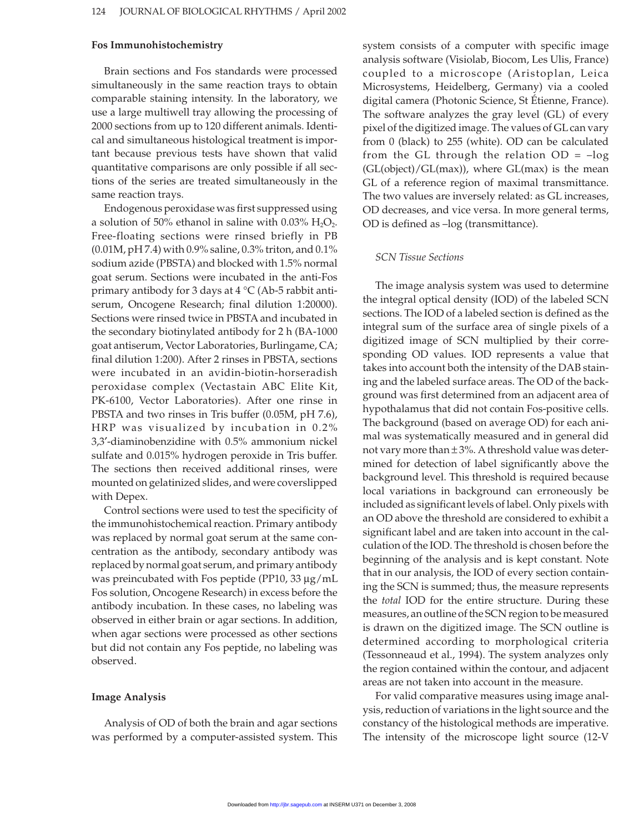# **Fos Immunohistochemistry**

Brain sections and Fos standards were processed simultaneously in the same reaction trays to obtain comparable staining intensity. In the laboratory, we use a large multiwell tray allowing the processing of 2000 sections from up to 120 different animals. Identical and simultaneous histological treatment is important because previous tests have shown that valid quantitative comparisons are only possible if all sections of the series are treated simultaneously in the same reaction trays.

Endogenous peroxidase was first suppressed using a solution of 50% ethanol in saline with 0.03%  $H_2O_2$ . Free-floating sections were rinsed briefly in PB (0.01M, pH 7.4) with 0.9% saline, 0.3% triton, and 0.1% sodium azide (PBSTA) and blocked with 1.5% normal goat serum. Sections were incubated in the anti-Fos primary antibody for 3 days at 4 °C (Ab-5 rabbit antiserum, Oncogene Research; final dilution 1:20000). Sections were rinsed twice in PBSTA and incubated in the secondary biotinylated antibody for 2 h (BA-1000 goat antiserum, Vector Laboratories, Burlingame, CA; final dilution 1:200). After 2 rinses in PBSTA, sections were incubated in an avidin-biotin-horseradish peroxidase complex (Vectastain ABC Elite Kit, PK-6100, Vector Laboratories). After one rinse in PBSTA and two rinses in Tris buffer (0.05M, pH 7.6), HRP was visualized by incubation in 0.2% 3,3′-diaminobenzidine with 0.5% ammonium nickel sulfate and 0.015% hydrogen peroxide in Tris buffer. The sections then received additional rinses, were mounted on gelatinized slides, and were coverslipped with Depex.

Control sections were used to test the specificity of the immunohistochemical reaction. Primary antibody was replaced by normal goat serum at the same concentration as the antibody, secondary antibody was replaced by normal goat serum, and primary antibody was preincubated with Fos peptide (PP10, 33 µg/mL Fos solution, Oncogene Research) in excess before the antibody incubation. In these cases, no labeling was observed in either brain or agar sections. In addition, when agar sections were processed as other sections but did not contain any Fos peptide, no labeling was observed.

#### **Image Analysis**

Analysis of OD of both the brain and agar sections was performed by a computer-assisted system. This

system consists of a computer with specific image analysis software (Visiolab, Biocom, Les Ulis, France) coupled to a microscope (Aristoplan, Leica Microsystems, Heidelberg, Germany) via a cooled digital camera (Photonic Science, St Étienne, France). The software analyzes the gray level (GL) of every pixel of the digitized image. The values of GL can vary from 0 (black) to 255 (white). OD can be calculated from the GL through the relation  $OD = -log$ (GL(object)/GL(max)), where GL(max) is the mean GL of a reference region of maximal transmittance. The two values are inversely related: as GL increases, OD decreases, and vice versa. In more general terms, OD is defined as –log (transmittance).

#### *SCN Tissue Sections*

The image analysis system was used to determine the integral optical density (IOD) of the labeled SCN sections. The IOD of a labeled section is defined as the integral sum of the surface area of single pixels of a digitized image of SCN multiplied by their corresponding OD values. IOD represents a value that takes into account both the intensity of the DAB staining and the labeled surface areas. The OD of the background was first determined from an adjacent area of hypothalamus that did not contain Fos-positive cells. The background (based on average OD) for each animal was systematically measured and in general did not vary more than  $\pm 3\%$ . A threshold value was determined for detection of label significantly above the background level. This threshold is required because local variations in background can erroneously be included as significant levels of label. Only pixels with an OD above the threshold are considered to exhibit a significant label and are taken into account in the calculation of the IOD. The threshold is chosen before the beginning of the analysis and is kept constant. Note that in our analysis, the IOD of every section containing the SCN is summed; thus, the measure represents the *total* IOD for the entire structure. During these measures, an outline of the SCN region to be measured is drawn on the digitized image. The SCN outline is determined according to morphological criteria (Tessonneaud et al., 1994). The system analyzes only the region contained within the contour, and adjacent areas are not taken into account in the measure.

For valid comparative measures using image analysis, reduction of variations in the light source and the constancy of the histological methods are imperative. The intensity of the microscope light source (12-V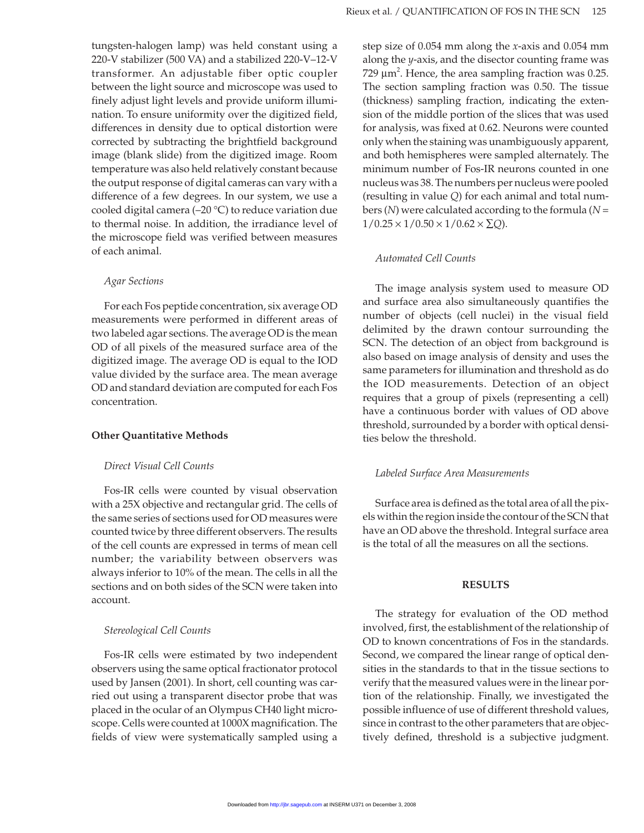tungsten-halogen lamp) was held constant using a 220-V stabilizer (500 VA) and a stabilized 220-V–12-V transformer. An adjustable fiber optic coupler between the light source and microscope was used to finely adjust light levels and provide uniform illumination. To ensure uniformity over the digitized field, differences in density due to optical distortion were corrected by subtracting the brightfield background image (blank slide) from the digitized image. Room temperature was also held relatively constant because the output response of digital cameras can vary with a difference of a few degrees. In our system, we use a cooled digital camera (–20 °C) to reduce variation due to thermal noise. In addition, the irradiance level of the microscope field was verified between measures of each animal.

#### *Agar Sections*

For each Fos peptide concentration, six average OD measurements were performed in different areas of two labeled agar sections. The average OD is the mean OD of all pixels of the measured surface area of the digitized image. The average OD is equal to the IOD value divided by the surface area. The mean average OD and standard deviation are computed for each Fos concentration.

# **Other Quantitative Methods**

# *Direct Visual Cell Counts*

Fos-IR cells were counted by visual observation with a 25X objective and rectangular grid. The cells of the same series of sections used for OD measures were counted twice by three different observers. The results of the cell counts are expressed in terms of mean cell number; the variability between observers was always inferior to 10% of the mean. The cells in all the sections and on both sides of the SCN were taken into account.

# *Stereological Cell Counts*

Fos-IR cells were estimated by two independent observers using the same optical fractionator protocol used by Jansen (2001). In short, cell counting was carried out using a transparent disector probe that was placed in the ocular of an Olympus CH40 light microscope. Cells were counted at 1000X magnification. The fields of view were systematically sampled using a

step size of 0.054 mm along the *x*-axis and 0.054 mm along the *y*-axis, and the disector counting frame was 729  $\mu$ m<sup>2</sup>. Hence, the area sampling fraction was 0.25. The section sampling fraction was 0.50. The tissue (thickness) sampling fraction, indicating the extension of the middle portion of the slices that was used for analysis, was fixed at 0.62. Neurons were counted only when the staining was unambiguously apparent, and both hemispheres were sampled alternately. The minimum number of Fos-IR neurons counted in one nucleus was 38. The numbers per nucleus were pooled (resulting in value *Q*) for each animal and total numbers (*N*) were calculated according to the formula (*N* =  $1/0.25 \times 1/0.50 \times 1/0.62 \times \Sigma$ Q).

#### *Automated Cell Counts*

The image analysis system used to measure OD and surface area also simultaneously quantifies the number of objects (cell nuclei) in the visual field delimited by the drawn contour surrounding the SCN. The detection of an object from background is also based on image analysis of density and uses the same parameters for illumination and threshold as do the IOD measurements. Detection of an object requires that a group of pixels (representing a cell) have a continuous border with values of OD above threshold, surrounded by a border with optical densities below the threshold.

# *Labeled Surface Area Measurements*

Surface area is defined as the total area of all the pixels within the region inside the contour of the SCN that have an OD above the threshold. Integral surface area is the total of all the measures on all the sections.

# **RESULTS**

The strategy for evaluation of the OD method involved, first, the establishment of the relationship of OD to known concentrations of Fos in the standards. Second, we compared the linear range of optical densities in the standards to that in the tissue sections to verify that the measured values were in the linear portion of the relationship. Finally, we investigated the possible influence of use of different threshold values, since in contrast to the other parameters that are objectively defined, threshold is a subjective judgment.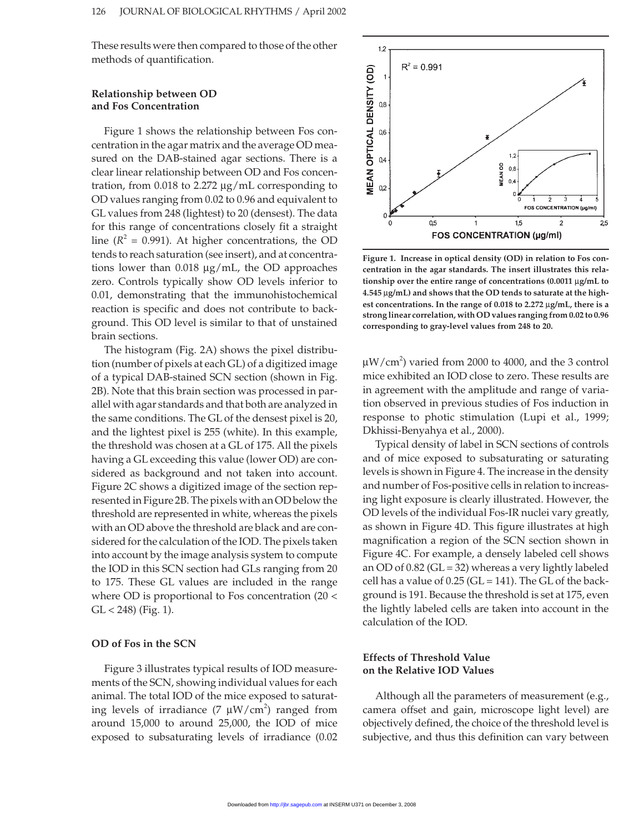These results were then compared to those of the other methods of quantification.

# **Relationship between OD and Fos Concentration**

Figure 1 shows the relationship between Fos concentration in the agar matrix and the average OD measured on the DAB-stained agar sections. There is a clear linear relationship between OD and Fos concentration, from 0.018 to 2.272 µg/mL corresponding to OD values ranging from 0.02 to 0.96 and equivalent to GL values from 248 (lightest) to 20 (densest). The data for this range of concentrations closely fit a straight line  $(R^2 = 0.991)$ . At higher concentrations, the OD tends to reach saturation (see insert), and at concentrations lower than 0.018 µg/mL, the OD approaches zero. Controls typically show OD levels inferior to 0.01, demonstrating that the immunohistochemical reaction is specific and does not contribute to background. This OD level is similar to that of unstained brain sections.

The histogram (Fig. 2A) shows the pixel distribution (number of pixels at each GL) of a digitized image of a typical DAB-stained SCN section (shown in Fig. 2B). Note that this brain section was processed in parallel with agar standards and that both are analyzed in the same conditions. The GL of the densest pixel is 20, and the lightest pixel is 255 (white). In this example, the threshold was chosen at a GL of 175. All the pixels having a GL exceeding this value (lower OD) are considered as background and not taken into account. Figure 2C shows a digitized image of the section represented in Figure 2B. The pixels with an OD below the threshold are represented in white, whereas the pixels with an OD above the threshold are black and are considered for the calculation of the IOD. The pixels taken into account by the image analysis system to compute the IOD in this SCN section had GLs ranging from 20 to 175. These GL values are included in the range where OD is proportional to Fos concentration (20 <  $GL < 248$ ) (Fig. 1).

# **OD of Fos in the SCN**

Figure 3 illustrates typical results of IOD measurements of the SCN, showing individual values for each animal. The total IOD of the mice exposed to saturating levels of irradiance (7  $\mu$ W/cm<sup>2</sup>) ranged from around 15,000 to around 25,000, the IOD of mice exposed to subsaturating levels of irradiance (0.02



**Figure 1. Increase in optical density (OD) in relation to Fos concentration in the agar standards. The insert illustrates this relationship over the entire range of concentrations (0.0011 g/mL to 4.545 g/mL) and shows that the ODtends to saturate at the high**est concentrations. In the range of 0.018 to 2.272  $\mu$ g/mL, there is a **strong linear correlation, with ODvalues ranging from 0.02 to 0.96 corresponding to gray-level values from 248 to 20.**

 $\mu$ W/cm<sup>2</sup>) varied from 2000 to 4000, and the 3 control mice exhibited an IOD close to zero. These results are in agreement with the amplitude and range of variation observed in previous studies of Fos induction in response to photic stimulation (Lupi et al., 1999; Dkhissi-Benyahya et al., 2000).

Typical density of label in SCN sections of controls and of mice exposed to subsaturating or saturating levels is shown in Figure 4. The increase in the density and number of Fos-positive cells in relation to increasing light exposure is clearly illustrated. However, the OD levels of the individual Fos-IR nuclei vary greatly, as shown in Figure 4D. This figure illustrates at high magnification a region of the SCN section shown in Figure 4C. For example, a densely labeled cell shows an OD of  $0.82$  (GL = 32) whereas a very lightly labeled cell has a value of 0.25 (GL = 141). The GL of the background is 191. Because the threshold is set at 175, even the lightly labeled cells are taken into account in the calculation of the IOD.

# **Effects of Threshold Value on the Relative IOD Values**

Although all the parameters of measurement (e.g., camera offset and gain, microscope light level) are objectively defined, the choice of the threshold level is subjective, and thus this definition can vary between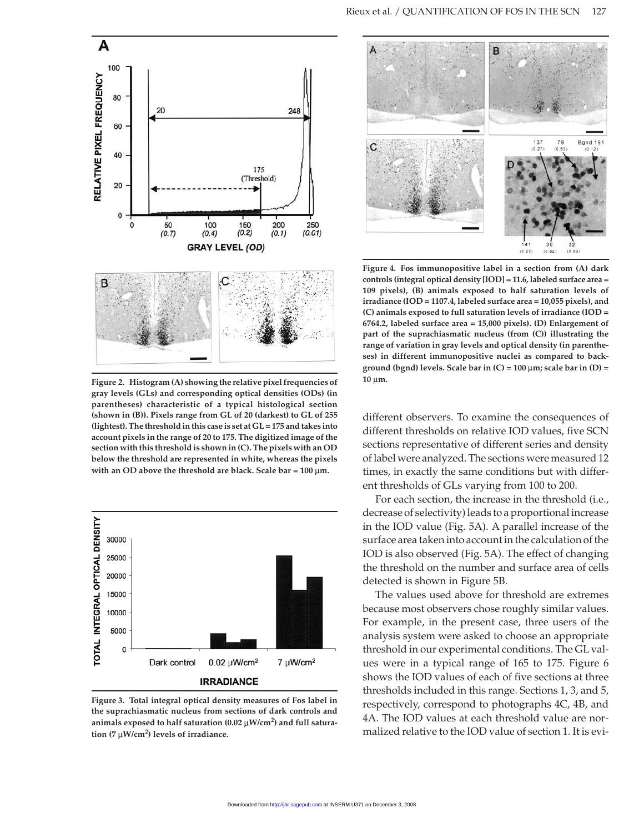

**10 m. Figure 2. Histogram (A) showing the relative pixel frequencies of gray levels (GLs) and corresponding optical densities (ODs) (in parentheses) characteristic of a typical histological section (shown in (B)). Pixels range from GL of 20 (darkest) to GL of 255 (lightest). The threshold in this case is set at GL = 175 and takes into account pixels in the range of 20 to 175. The digitized image of the section with this threshold is shown in (C). The pixels with an OD below the threshold are represented in white, whereas the pixels** with an OD above the threshold are black. Scale bar =  $100 \mu m$ .



**Figure 3. Total integral optical density measures of Fos label in the suprachiasmatic nucleus from sections of dark controls and animals exposed to half saturation (0.02 W/cm<sup>2</sup> ) and full saturation (7 W/cm<sup>2</sup> ) levels of irradiance.**



**Figure 4. Fos immunopositive label in a section from (A) dark controls (integral optical density [IOD] = 11.6, labeled surface area = 109 pixels), (B) animals exposed to half saturation levels of irradiance (IOD= 1107.4, labeled surface area = 10,055 pixels), and (C) animals exposed to full saturation levels of irradiance (IOD= 6764.2, labeled surface area = 15,000 pixels). (D) Enlargement of part of the suprachiasmatic nucleus (from (C)) illustrating the range of variation in gray levels and optical density (in parentheses) in different immunopositive nuclei as compared to background (bgnd) levels. Scale bar in (C) = 100 m; scale bar in (D) =**

different observers. To examine the consequences of different thresholds on relative IOD values, five SCN sections representative of different series and density of label were analyzed. The sections were measured 12 times, in exactly the same conditions but with different thresholds of GLs varying from 100 to 200.

For each section, the increase in the threshold (i.e., decrease of selectivity) leads to a proportional increase in the IOD value (Fig. 5A). A parallel increase of the surface area taken into account in the calculation of the IOD is also observed (Fig. 5A). The effect of changing the threshold on the number and surface area of cells detected is shown in Figure 5B.

The values used above for threshold are extremes because most observers chose roughly similar values. For example, in the present case, three users of the analysis system were asked to choose an appropriate threshold in our experimental conditions. The GL values were in a typical range of 165 to 175. Figure 6 shows the IOD values of each of five sections at three thresholds included in this range. Sections 1, 3, and 5, respectively, correspond to photographs 4C, 4B, and 4A. The IOD values at each threshold value are normalized relative to the IOD value of section 1. It is evi-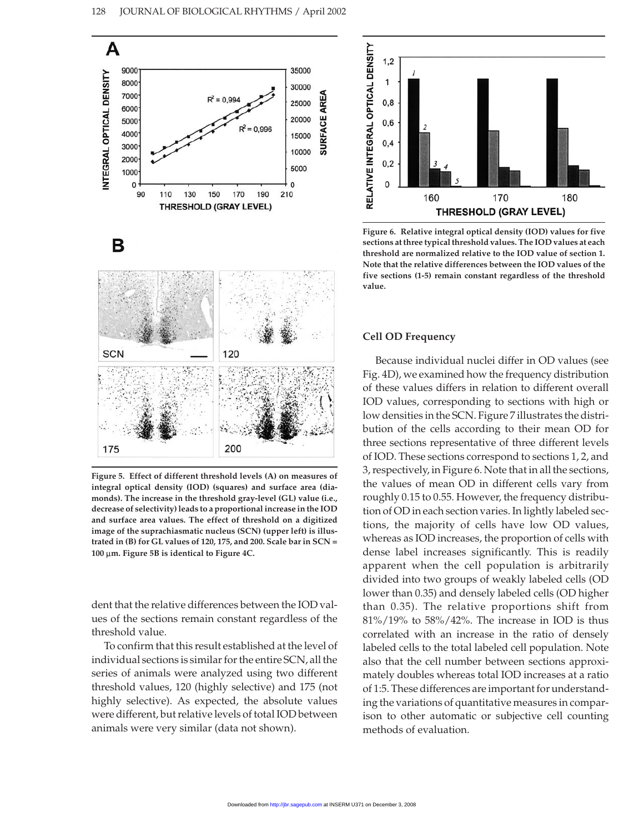

**Figure 5. Effect of different threshold levels (A) on measures of integral optical density (IOD) (squares) and surface area (diamonds). The increase in the threshold gray-level (GL) value (i.e., decrease of selectivity) leads to a proportional increase in the IOD and surface area values. The effect of threshold on a digitized image of the suprachiasmatic nucleus (SCN) (upper left) is illustrated in (B) for GL values of 120, 175, and 200. Scale bar in SCN = 100 m. Figure 5B is identical to Figure 4C.**

dent that the relative differences between the IOD values of the sections remain constant regardless of the threshold value.

To confirm that this result established at the level of individual sections is similar for the entire SCN, all the series of animals were analyzed using two different threshold values, 120 (highly selective) and 175 (not highly selective). As expected, the absolute values were different, but relative levels of total IOD between animals were very similar (data not shown).



**Figure 6. Relative integral optical density (IOD) values for five sections at three typical threshold values. The IODvalues at each threshold are normalized relative to the IODvalue of section 1.** Note that the relative differences between the IOD values of the **five sections (1-5) remain constant regardless of the threshold value.**

# **Cell OD Frequency**

Because individual nuclei differ in OD values (see Fig. 4D), we examined how the frequency distribution of these values differs in relation to different overall IOD values, corresponding to sections with high or low densities in the SCN. Figure 7 illustrates the distribution of the cells according to their mean OD for three sections representative of three different levels of IOD. These sections correspond to sections 1, 2, and 3, respectively, in Figure 6. Note that in all the sections, the values of mean OD in different cells vary from roughly 0.15 to 0.55. However, the frequency distribution of OD in each section varies. In lightly labeled sections, the majority of cells have low OD values, whereas as IOD increases, the proportion of cells with dense label increases significantly. This is readily apparent when the cell population is arbitrarily divided into two groups of weakly labeled cells (OD lower than 0.35) and densely labeled cells (OD higher than 0.35). The relative proportions shift from 81%/19% to 58%/42%. The increase in IOD is thus correlated with an increase in the ratio of densely labeled cells to the total labeled cell population. Note also that the cell number between sections approximately doubles whereas total IOD increases at a ratio of 1:5. These differences are important for understanding the variations of quantitative measures in comparison to other automatic or subjective cell counting methods of evaluation.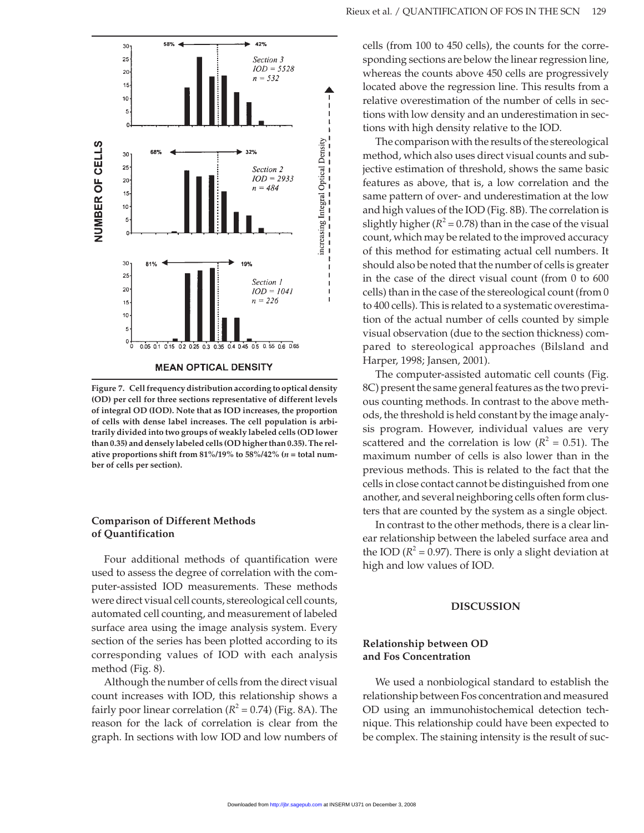

**Figure 7. Cell frequency distribution according to optical density (OD) per cell for three sections representative of different levels of integral OD(IOD). Note that as IODincreases, the proportion of cells with dense label increases. The cell population is arbitrarily divided into two groups of weakly labeled cells (ODlower than 0.35) and densely labeled cells (ODhigher than 0.35). The rel-**

**ative proportions shift from 81%/19% to 58%/42% (***n* **= total num-**

# **Comparison of Different Methods of Quantification**

**ber of cells per section).**

Four additional methods of quantification were used to assess the degree of correlation with the computer-assisted IOD measurements. These methods were direct visual cell counts, stereological cell counts, automated cell counting, and measurement of labeled surface area using the image analysis system. Every section of the series has been plotted according to its corresponding values of IOD with each analysis method (Fig. 8).

Although the number of cells from the direct visual count increases with IOD, this relationship shows a fairly poor linear correlation  $(R^2 = 0.74)$  (Fig. 8A). The reason for the lack of correlation is clear from the graph. In sections with low IOD and low numbers of

cells (from 100 to 450 cells), the counts for the corresponding sections are below the linear regression line, whereas the counts above 450 cells are progressively located above the regression line. This results from a relative overestimation of the number of cells in sections with low density and an underestimation in sections with high density relative to the IOD.

The comparison with the results of the stereological method, which also uses direct visual counts and subjective estimation of threshold, shows the same basic features as above, that is, a low correlation and the same pattern of over- and underestimation at the low and high values of the IOD (Fig. 8B). The correlation is slightly higher ( $R^2$  = 0.78) than in the case of the visual count, which may be related to the improved accuracy of this method for estimating actual cell numbers. It should also be noted that the number of cells is greater in the case of the direct visual count (from 0 to 600 cells) than in the case of the stereological count (from 0 to 400 cells). This is related to a systematic overestimation of the actual number of cells counted by simple visual observation (due to the section thickness) compared to stereological approaches (Bilsland and Harper, 1998; Jansen, 2001).

The computer-assisted automatic cell counts (Fig. 8C) present the same general features as the two previous counting methods. In contrast to the above methods, the threshold is held constant by the image analysis program. However, individual values are very scattered and the correlation is low  $(R^2 = 0.51)$ . The maximum number of cells is also lower than in the previous methods. This is related to the fact that the cells in close contact cannot be distinguished from one another, and several neighboring cells often form clusters that are counted by the system as a single object.

In contrast to the other methods, there is a clear linear relationship between the labeled surface area and the IOD ( $R^2$  = 0.97). There is only a slight deviation at high and low values of IOD.

# **DISCUSSION**

# **Relationship between OD and Fos Concentration**

We used a nonbiological standard to establish the relationship between Fos concentration and measured OD using an immunohistochemical detection technique. This relationship could have been expected to be complex. The staining intensity is the result of suc-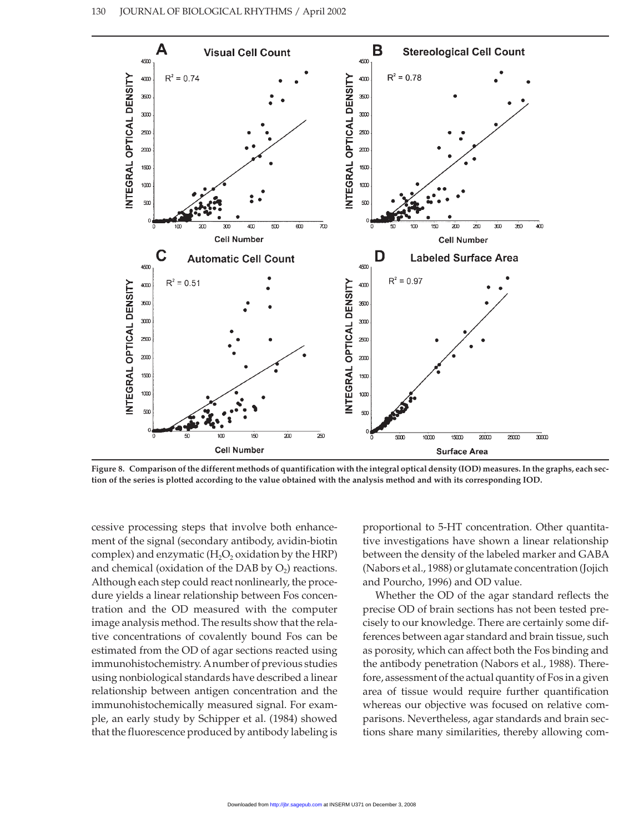

**Figure 8. Comparison of the different methods of quantification with the integral optical density (IOD) measures. In the graphs, each section of the series is plotted according to the value obtained with the analysis method and with its corresponding IOD.**

cessive processing steps that involve both enhancement of the signal (secondary antibody, avidin-biotin complex) and enzymatic  $(H_2O_2)$  oxidation by the HRP) and chemical (oxidation of the DAB by  $O_2$ ) reactions. Although each step could react nonlinearly, the procedure yields a linear relationship between Fos concentration and the OD measured with the computer image analysis method. The results show that the relative concentrations of covalently bound Fos can be estimated from the OD of agar sections reacted using immunohistochemistry. Anumber of previous studies using nonbiological standards have described a linear relationship between antigen concentration and the immunohistochemically measured signal. For example, an early study by Schipper et al. (1984) showed that the fluorescence produced by antibody labeling is

proportional to 5-HT concentration. Other quantitative investigations have shown a linear relationship between the density of the labeled marker and GABA (Nabors et al., 1988) or glutamate concentration (Jojich and Pourcho, 1996) and OD value.

Whether the OD of the agar standard reflects the precise OD of brain sections has not been tested precisely to our knowledge. There are certainly some differences between agar standard and brain tissue, such as porosity, which can affect both the Fos binding and the antibody penetration (Nabors et al., 1988). Therefore, assessment of the actual quantity of Fos in a given area of tissue would require further quantification whereas our objective was focused on relative comparisons. Nevertheless, agar standards and brain sections share many similarities, thereby allowing com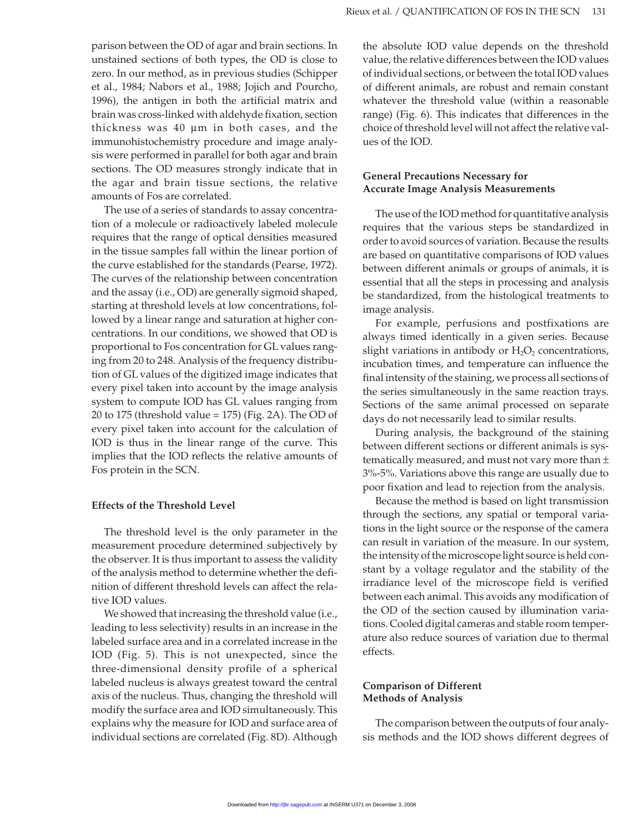parison between the OD of agar and brain sections. In unstained sections of both types, the OD is close to zero. In our method, as in previous studies (Schipper et al., 1984; Nabors et al., 1988; Jojich and Pourcho, 1996), the antigen in both the artificial matrix and brain was cross-linked with aldehyde fixation, section thickness was 40 µm in both cases, and the immunohistochemistry procedure and image analysis were performed in parallel for both agar and brain sections. The OD measures strongly indicate that in the agar and brain tissue sections, the relative amounts of Fos are correlated.

The use of a series of standards to assay concentration of a molecule or radioactively labeled molecule requires that the range of optical densities measured in the tissue samples fall within the linear portion of the curve established for the standards (Pearse, 1972). The curves of the relationship between concentration and the assay (i.e., OD) are generally sigmoid shaped, starting at threshold levels at low concentrations, followed by a linear range and saturation at higher concentrations. In our conditions, we showed that OD is proportional to Fos concentration for GL values ranging from 20 to 248. Analysis of the frequency distribution of GL values of the digitized image indicates that every pixel taken into account by the image analysis system to compute IOD has GL values ranging from 20 to 175 (threshold value = 175) (Fig. 2A). The OD of every pixel taken into account for the calculation of IOD is thus in the linear range of the curve. This implies that the IOD reflects the relative amounts of Fos protein in the SCN.

# **Effects of the Threshold Level**

The threshold level is the only parameter in the measurement procedure determined subjectively by the observer. It is thus important to assess the validity of the analysis method to determine whether the definition of different threshold levels can affect the relative IOD values.

We showed that increasing the threshold value (i.e., leading to less selectivity) results in an increase in the labeled surface area and in a correlated increase in the IOD (Fig. 5). This is not unexpected, since the three-dimensional density profile of a spherical labeled nucleus is always greatest toward the central axis of the nucleus. Thus, changing the threshold will modify the surface area and IOD simultaneously. This explains why the measure for IOD and surface area of individual sections are correlated (Fig. 8D). Although

the absolute IOD value depends on the threshold value, the relative differences between the IOD values of individual sections, or between the total IOD values of different animals, are robust and remain constant whatever the threshold value (within a reasonable range) (Fig. 6). This indicates that differences in the choice of threshold level will not affect the relative values of the IOD.

# **General Precautions Necessary for Accurate Image Analysis Measurements**

The use of the IOD method for quantitative analysis requires that the various steps be standardized in order to avoid sources of variation. Because the results are based on quantitative comparisons of IOD values between different animals or groups of animals, it is essential that all the steps in processing and analysis be standardized, from the histological treatments to image analysis.

For example, perfusions and postfixations are always timed identically in a given series. Because slight variations in antibody or  $H_2O_2$  concentrations, incubation times, and temperature can influence the final intensity of the staining, we process all sections of the series simultaneously in the same reaction trays. Sections of the same animal processed on separate days do not necessarily lead to similar results.

During analysis, the background of the staining between different sections or different animals is systematically measured, and must not vary more than  $\pm$ 3%-5%. Variations above this range are usually due to poor fixation and lead to rejection from the analysis.

Because the method is based on light transmission through the sections, any spatial or temporal variations in the light source or the response of the camera can result in variation of the measure. In our system, the intensity of the microscope light source is held constant by a voltage regulator and the stability of the irradiance level of the microscope field is verified between each animal. This avoids any modification of the OD of the section caused by illumination variations. Cooled digital cameras and stable room temperature also reduce sources of variation due to thermal effects.

# **Comparison of Different Methods of Analysis**

The comparison between the outputs of four analysis methods and the IOD shows different degrees of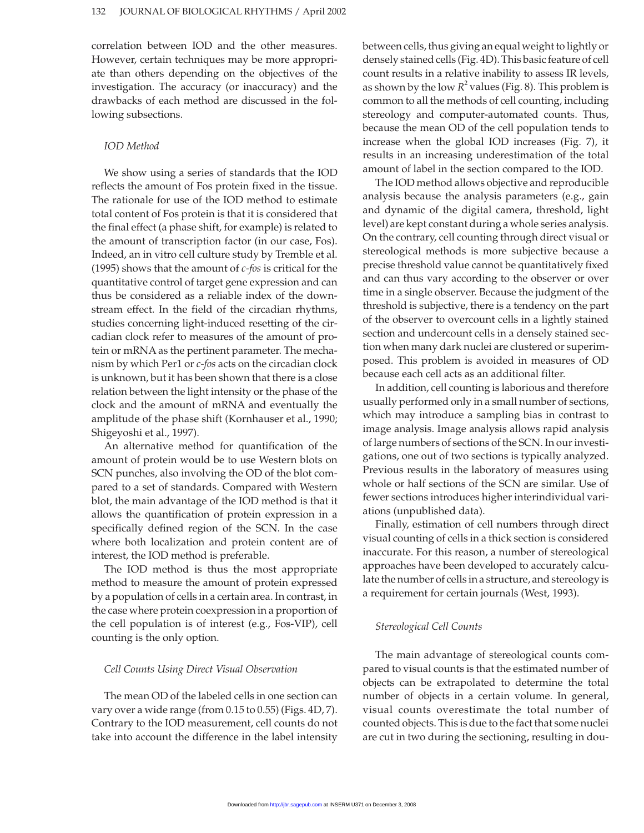correlation between IOD and the other measures. However, certain techniques may be more appropriate than others depending on the objectives of the investigation. The accuracy (or inaccuracy) and the drawbacks of each method are discussed in the following subsections.

# *IOD Method*

We show using a series of standards that the IOD reflects the amount of Fos protein fixed in the tissue. The rationale for use of the IOD method to estimate total content of Fos protein is that it is considered that the final effect (a phase shift, for example) is related to the amount of transcription factor (in our case, Fos). Indeed, an in vitro cell culture study by Tremble et al. (1995) shows that the amount of *c-fos* is critical for the quantitative control of target gene expression and can thus be considered as a reliable index of the downstream effect. In the field of the circadian rhythms, studies concerning light-induced resetting of the circadian clock refer to measures of the amount of protein or mRNA as the pertinent parameter. The mechanism by which Per1 or *c-fos* acts on the circadian clock is unknown, but it has been shown that there is a close relation between the light intensity or the phase of the clock and the amount of mRNA and eventually the amplitude of the phase shift (Kornhauser et al., 1990; Shigeyoshi et al., 1997).

An alternative method for quantification of the amount of protein would be to use Western blots on SCN punches, also involving the OD of the blot compared to a set of standards. Compared with Western blot, the main advantage of the IOD method is that it allows the quantification of protein expression in a specifically defined region of the SCN. In the case where both localization and protein content are of interest, the IOD method is preferable.

The IOD method is thus the most appropriate method to measure the amount of protein expressed by a population of cells in a certain area. In contrast, in the case where protein coexpression in a proportion of the cell population is of interest (e.g., Fos-VIP), cell counting is the only option.

# *Cell Counts Using Direct Visual Observation*

The mean OD of the labeled cells in one section can vary over a wide range (from 0.15 to 0.55) (Figs. 4D, 7). Contrary to the IOD measurement, cell counts do not take into account the difference in the label intensity

between cells, thus giving an equal weight to lightly or densely stained cells (Fig. 4D). This basic feature of cell count results in a relative inability to assess IR levels, as shown by the low  $R^2$  values (Fig. 8). This problem is common to all the methods of cell counting, including stereology and computer-automated counts. Thus, because the mean OD of the cell population tends to increase when the global IOD increases (Fig. 7), it results in an increasing underestimation of the total amount of label in the section compared to the IOD.

The IOD method allows objective and reproducible analysis because the analysis parameters (e.g., gain and dynamic of the digital camera, threshold, light level) are kept constant during a whole series analysis. On the contrary, cell counting through direct visual or stereological methods is more subjective because a precise threshold value cannot be quantitatively fixed and can thus vary according to the observer or over time in a single observer. Because the judgment of the threshold is subjective, there is a tendency on the part of the observer to overcount cells in a lightly stained section and undercount cells in a densely stained section when many dark nuclei are clustered or superimposed. This problem is avoided in measures of OD because each cell acts as an additional filter.

In addition, cell counting is laborious and therefore usually performed only in a small number of sections, which may introduce a sampling bias in contrast to image analysis. Image analysis allows rapid analysis of large numbers of sections of the SCN. In our investigations, one out of two sections is typically analyzed. Previous results in the laboratory of measures using whole or half sections of the SCN are similar. Use of fewer sections introduces higher interindividual variations (unpublished data).

Finally, estimation of cell numbers through direct visual counting of cells in a thick section is considered inaccurate. For this reason, a number of stereological approaches have been developed to accurately calculate the number of cells in a structure, and stereology is a requirement for certain journals (West, 1993).

#### *Stereological Cell Counts*

The main advantage of stereological counts compared to visual counts is that the estimated number of objects can be extrapolated to determine the total number of objects in a certain volume. In general, visual counts overestimate the total number of counted objects. This is due to the fact that some nuclei are cut in two during the sectioning, resulting in dou-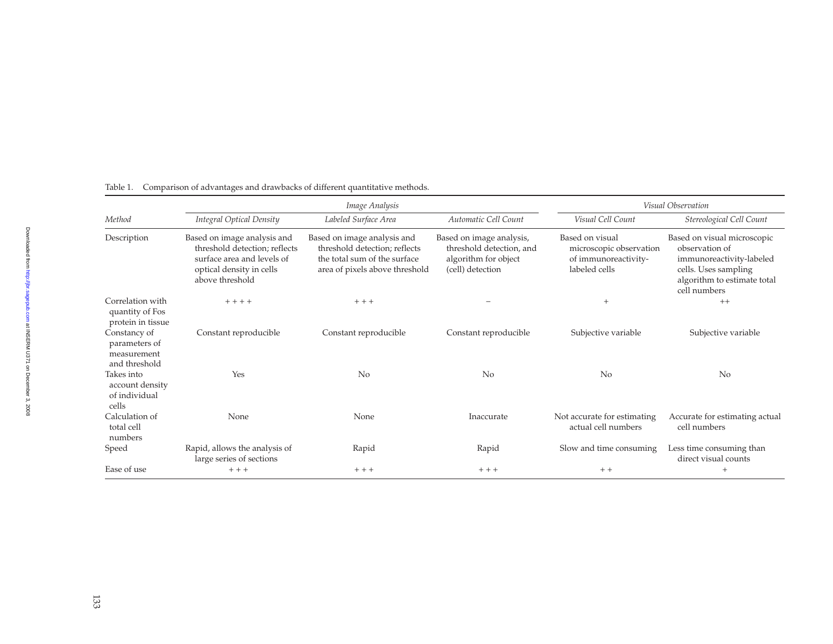|                                                               | Image Analysis                                                                                                                            |                                                                                                                                |                                                                                                  | Visual Observation                                                                  |                                                                                                                                                  |
|---------------------------------------------------------------|-------------------------------------------------------------------------------------------------------------------------------------------|--------------------------------------------------------------------------------------------------------------------------------|--------------------------------------------------------------------------------------------------|-------------------------------------------------------------------------------------|--------------------------------------------------------------------------------------------------------------------------------------------------|
| Method                                                        | <b>Integral Optical Density</b>                                                                                                           | Labeled Surface Area                                                                                                           | Automatic Cell Count                                                                             | Visual Cell Count                                                                   | Stereological Cell Count                                                                                                                         |
| Description                                                   | Based on image analysis and<br>threshold detection; reflects<br>surface area and levels of<br>optical density in cells<br>above threshold | Based on image analysis and<br>threshold detection; reflects<br>the total sum of the surface<br>area of pixels above threshold | Based on image analysis,<br>threshold detection, and<br>algorithm for object<br>(cell) detection | Based on visual<br>microscopic observation<br>of immunoreactivity-<br>labeled cells | Based on visual microscopic<br>observation of<br>immunoreactivity-labeled<br>cells. Uses sampling<br>algorithm to estimate total<br>cell numbers |
| Correlation with<br>quantity of Fos<br>protein in tissue      | $+ + + +$                                                                                                                                 | $+ + +$                                                                                                                        |                                                                                                  | $^{+}$                                                                              | $++$                                                                                                                                             |
| Constancy of<br>parameters of<br>measurement<br>and threshold | Constant reproducible                                                                                                                     | Constant reproducible                                                                                                          | Constant reproducible                                                                            | Subjective variable                                                                 | Subjective variable                                                                                                                              |
| Takes into<br>account density<br>of individual<br>cells       | Yes                                                                                                                                       | N <sub>o</sub>                                                                                                                 | N <sub>o</sub>                                                                                   | No                                                                                  | N <sub>o</sub>                                                                                                                                   |
| Calculation of<br>total cell<br>numbers                       | None                                                                                                                                      | None                                                                                                                           | Inaccurate                                                                                       | Not accurate for estimating<br>actual cell numbers                                  | Accurate for estimating actual<br>cell numbers                                                                                                   |
| Speed                                                         | Rapid, allows the analysis of<br>large series of sections                                                                                 | Rapid                                                                                                                          | Rapid                                                                                            | Slow and time consuming                                                             | Less time consuming than<br>direct visual counts                                                                                                 |
| Ease of use                                                   | $+ + +$                                                                                                                                   | $+ + +$                                                                                                                        | $++$                                                                                             | $+ +$                                                                               | $^{+}$                                                                                                                                           |

#### Table 1. Comparison of advantages and drawbacks of different quantitative methods.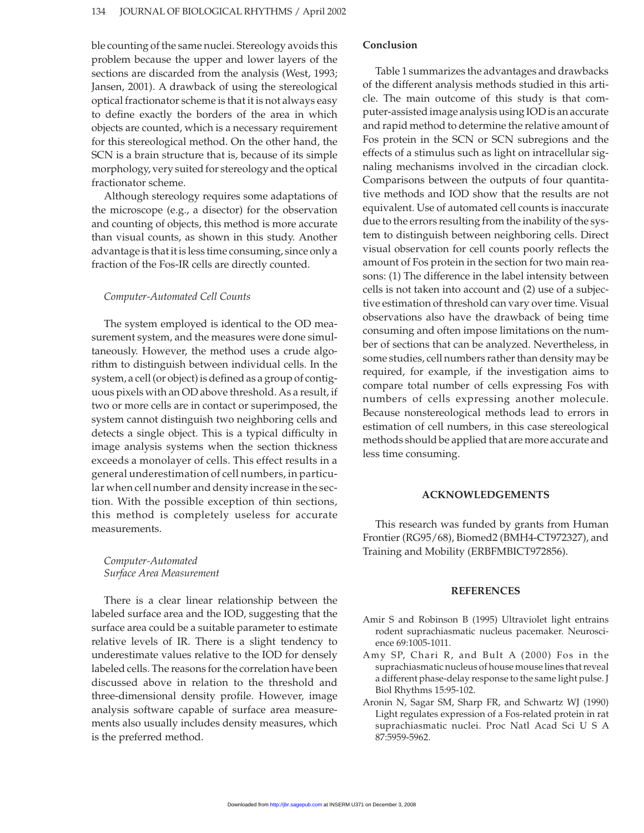ble counting of the same nuclei. Stereology avoids this problem because the upper and lower layers of the sections are discarded from the analysis (West, 1993; Jansen, 2001). A drawback of using the stereological optical fractionator scheme is that it is not always easy to define exactly the borders of the area in which objects are counted, which is a necessary requirement for this stereological method. On the other hand, the SCN is a brain structure that is, because of its simple morphology, very suited for stereology and the optical fractionator scheme.

Although stereology requires some adaptations of the microscope (e.g., a disector) for the observation and counting of objects, this method is more accurate than visual counts, as shown in this study. Another advantage is that it is less time consuming, since only a fraction of the Fos-IR cells are directly counted.

#### *Computer-Automated Cell Counts*

The system employed is identical to the OD measurement system, and the measures were done simultaneously. However, the method uses a crude algorithm to distinguish between individual cells. In the system, a cell (or object) is defined as a group of contiguous pixels with an OD above threshold. As a result, if two or more cells are in contact or superimposed, the system cannot distinguish two neighboring cells and detects a single object. This is a typical difficulty in image analysis systems when the section thickness exceeds a monolayer of cells. This effect results in a general underestimation of cell numbers, in particular when cell number and density increase in the section. With the possible exception of thin sections, this method is completely useless for accurate measurements.

# *Computer-Automated Surface Area Measurement*

There is a clear linear relationship between the labeled surface area and the IOD, suggesting that the surface area could be a suitable parameter to estimate relative levels of IR. There is a slight tendency to underestimate values relative to the IOD for densely labeled cells. The reasons for the correlation have been discussed above in relation to the threshold and three-dimensional density profile. However, image analysis software capable of surface area measurements also usually includes density measures, which is the preferred method.

# **Conclusion**

Table 1 summarizes the advantages and drawbacks of the different analysis methods studied in this article. The main outcome of this study is that computer-assisted image analysis using IOD is an accurate and rapid method to determine the relative amount of Fos protein in the SCN or SCN subregions and the effects of a stimulus such as light on intracellular signaling mechanisms involved in the circadian clock. Comparisons between the outputs of four quantitative methods and IOD show that the results are not equivalent. Use of automated cell counts is inaccurate due to the errors resulting from the inability of the system to distinguish between neighboring cells. Direct visual observation for cell counts poorly reflects the amount of Fos protein in the section for two main reasons: (1) The difference in the label intensity between cells is not taken into account and (2) use of a subjective estimation of threshold can vary over time. Visual observations also have the drawback of being time consuming and often impose limitations on the number of sections that can be analyzed. Nevertheless, in some studies, cell numbers rather than density may be required, for example, if the investigation aims to compare total number of cells expressing Fos with numbers of cells expressing another molecule. Because nonstereological methods lead to errors in estimation of cell numbers, in this case stereological methods should be applied that are more accurate and less time consuming.

# **ACKNOWLEDGEMENTS**

This research was funded by grants from Human Frontier (RG95/68), Biomed2 (BMH4-CT972327), and Training and Mobility (ERBFMBICT972856).

#### **REFERENCES**

- Amir S and Robinson B (1995) Ultraviolet light entrains rodent suprachiasmatic nucleus pacemaker. Neuroscience 69:1005-1011.
- Amy SP, Chari R, and Bult A (2000) Fos in the suprachiasmatic nucleus of house mouse lines that reveal a different phase-delay response to the same light pulse. J Biol Rhythms 15:95-102.
- Aronin N, Sagar SM, Sharp FR, and Schwartz WJ (1990) Light regulates expression of a Fos-related protein in rat suprachiasmatic nuclei. Proc Natl Acad Sci U S A 87:5959-5962.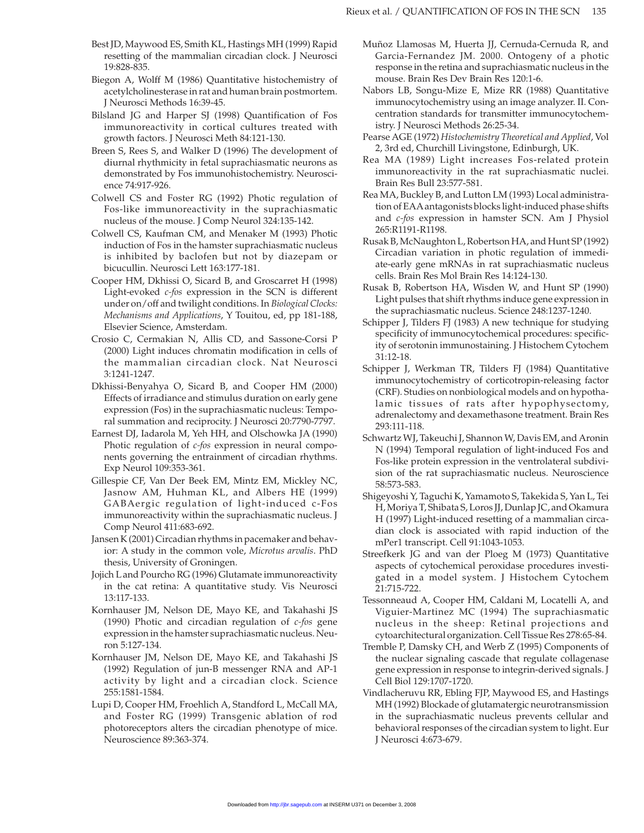- Best JD, Maywood ES, Smith KL, Hastings MH (1999) Rapid resetting of the mammalian circadian clock. J Neurosci 19:828-835.
- Biegon A, Wolff M (1986) Quantitative histochemistry of acetylcholinesterase in rat and human brain postmortem. J Neurosci Methods 16:39-45.
- Bilsland JG and Harper SJ (1998) Quantification of Fos immunoreactivity in cortical cultures treated with growth factors. J Neurosci Meth 84:121-130.
- Breen S, Rees S, and Walker D (1996) The development of diurnal rhythmicity in fetal suprachiasmatic neurons as demonstrated by Fos immunohistochemistry. Neuroscience 74:917-926.
- Colwell CS and Foster RG (1992) Photic regulation of Fos-like immunoreactivity in the suprachiasmatic nucleus of the mouse. J Comp Neurol 324:135-142.
- Colwell CS, Kaufman CM, and Menaker M (1993) Photic induction of Fos in the hamster suprachiasmatic nucleus is inhibited by baclofen but not by diazepam or bicucullin. Neurosci Lett 163:177-181.
- Cooper HM, Dkhissi O, Sicard B, and Groscarret H (1998) Light-evoked *c-fos* expression in the SCN is different under on/off and twilight conditions. In *Biological Clocks: Mechanisms and Applications*, Y Touitou, ed, pp 181-188, Elsevier Science, Amsterdam.
- Crosio C, Cermakian N, Allis CD, and Sassone-Corsi P (2000) Light induces chromatin modification in cells of the mammalian circadian clock. Nat Neurosci 3:1241-1247.
- Dkhissi-Benyahya O, Sicard B, and Cooper HM (2000) Effects of irradiance and stimulus duration on early gene expression (Fos) in the suprachiasmatic nucleus: Temporal summation and reciprocity. J Neurosci 20:7790-7797.
- Earnest DJ, Iadarola M, Yeh HH, and Olschowka JA (1990) Photic regulation of *c-fos* expression in neural components governing the entrainment of circadian rhythms. Exp Neurol 109:353-361.
- Gillespie CF, Van Der Beek EM, Mintz EM, Mickley NC, Jasnow AM, Huhman KL, and Albers HE (1999) GABAergic regulation of light-induced c-Fos immunoreactivity within the suprachiasmatic nucleus. J Comp Neurol 411:683-692.
- Jansen K (2001) Circadian rhythms in pacemaker and behavior: A study in the common vole, *Microtus arvalis*. PhD thesis, University of Groningen.
- Jojich L and Pourcho RG (1996) Glutamate immunoreactivity in the cat retina: A quantitative study. Vis Neurosci 13:117-133.
- Kornhauser JM, Nelson DE, Mayo KE, and Takahashi JS (1990) Photic and circadian regulation of *c-fos* gene expression in the hamster suprachiasmatic nucleus. Neuron 5:127-134.
- Kornhauser JM, Nelson DE, Mayo KE, and Takahashi JS (1992) Regulation of jun-B messenger RNA and AP-1 activity by light and a circadian clock. Science 255:1581-1584.
- Lupi D, Cooper HM, Froehlich A, Standford L, McCall MA, and Foster RG (1999) Transgenic ablation of rod photoreceptors alters the circadian phenotype of mice. Neuroscience 89:363-374.
- Muñoz Llamosas M, Huerta JJ, Cernuda-Cernuda R, and Garcia-Fernandez JM. 2000. Ontogeny of a photic response in the retina and suprachiasmatic nucleus in the mouse. Brain Res Dev Brain Res 120:1-6.
- Nabors LB, Songu-Mize E, Mize RR (1988) Quantitative immunocytochemistry using an image analyzer. II. Concentration standards for transmitter immunocytochemistry. J Neurosci Methods 26:25-34.
- Pearse AGE (1972) *Histochemistry Theoretical and Applied*, Vol 2, 3rd ed, Churchill Livingstone, Edinburgh, UK.
- Rea MA (1989) Light increases Fos-related protein immunoreactivity in the rat suprachiasmatic nuclei. Brain Res Bull 23:577-581.
- Rea MA, Buckley B, and Lutton LM (1993) Local administration of EAAantagonists blocks light-induced phase shifts and *c-fos* expression in hamster SCN. Am J Physiol 265:R1191-R1198.
- Rusak B, McNaughton L, Robertson HA, and Hunt SP (1992) Circadian variation in photic regulation of immediate-early gene mRNAs in rat suprachiasmatic nucleus cells. Brain Res Mol Brain Res 14:124-130.
- Rusak B, Robertson HA, Wisden W, and Hunt SP (1990) Light pulses that shift rhythms induce gene expression in the suprachiasmatic nucleus. Science 248:1237-1240.
- Schipper J, Tilders FJ (1983) A new technique for studying specificity of immunocytochemical procedures: specificity of serotonin immunostaining. J Histochem Cytochem 31:12-18.
- Schipper J, Werkman TR, Tilders FJ (1984) Quantitative immunocytochemistry of corticotropin-releasing factor (CRF). Studies on nonbiological models and on hypothalamic tissues of rats after hypophysectomy, adrenalectomy and dexamethasone treatment. Brain Res 293:111-118.
- Schwartz WJ, Takeuchi J, Shannon W, Davis EM, and Aronin N (1994) Temporal regulation of light-induced Fos and Fos-like protein expression in the ventrolateral subdivision of the rat suprachiasmatic nucleus. Neuroscience 58:573-583.
- Shigeyoshi Y, Taguchi K, Yamamoto S, Takekida S, Yan L, Tei H, Moriya T, Shibata S, Loros JJ, Dunlap JC, and Okamura H (1997) Light-induced resetting of a mammalian circadian clock is associated with rapid induction of the mPer1 transcript. Cell 91:1043-1053.
- Streefkerk JG and van der Ploeg M (1973) Quantitative aspects of cytochemical peroxidase procedures investigated in a model system. J Histochem Cytochem 21:715-722.
- Tessonneaud A, Cooper HM, Caldani M, Locatelli A, and Viguier-Martinez MC (1994) The suprachiasmatic nucleus in the sheep: Retinal projections and cytoarchitectural organization. Cell Tissue Res 278:65-84.
- Tremble P, Damsky CH, and Werb Z (1995) Components of the nuclear signaling cascade that regulate collagenase gene expression in response to integrin-derived signals. J Cell Biol 129:1707-1720.
- Vindlacheruvu RR, Ebling FJP, Maywood ES, and Hastings MH (1992) Blockade of glutamatergic neurotransmission in the suprachiasmatic nucleus prevents cellular and behavioral responses of the circadian system to light. Eur J Neurosci 4:673-679.